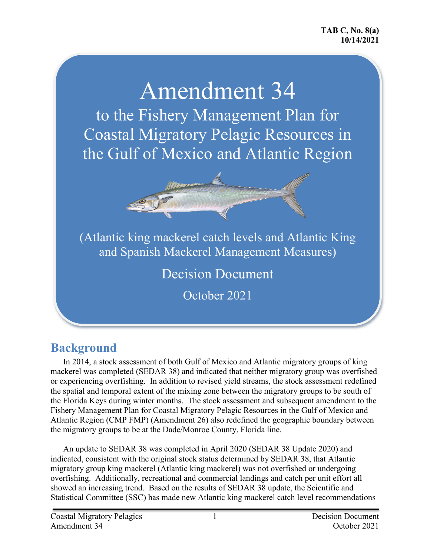# Amendment 34 to the Fishery Management Plan for Coastal Migratory Pelagic Resources in the Gulf of Mexico and Atlantic Region



(Atlantic king mackerel catch levels and Atlantic King and Spanish Mackerel Management Measures)

Decision Document

October 2021

### **Background**

In 2014, a stock assessment of both Gulf of Mexico and Atlantic migratory groups of king mackerel was completed (SEDAR 38) and indicated that neither migratory group was overfished or experiencing overfishing. In addition to revised yield streams, the stock assessment redefined the spatial and temporal extent of the mixing zone between the migratory groups to be south of the Florida Keys during winter months. The stock assessment and subsequent amendment to the Fishery Management Plan for Coastal Migratory Pelagic Resources in the Gulf of Mexico and Atlantic Region (CMP FMP) (Amendment 26) also redefined the geographic boundary between the migratory groups to be at the Dade/Monroe County, Florida line.

An update to SEDAR 38 was completed in April 2020 (SEDAR 38 Update 2020) and indicated, consistent with the original stock status determined by SEDAR 38, that Atlantic migratory group king mackerel (Atlantic king mackerel) was not overfished or undergoing overfishing. Additionally, recreational and commercial landings and catch per unit effort all showed an increasing trend. Based on the results of SEDAR 38 update, the Scientific and Statistical Committee (SSC) has made new Atlantic king mackerel catch level recommendations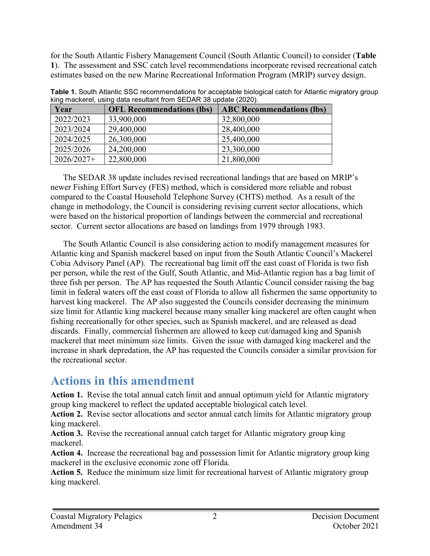for the South Atlantic Fishery Management Council (South Atlantic Council) to consider (**Table 1**). The assessment and SSC catch level recommendations incorporate revised recreational catch estimates based on the new Marine Recreational Information Program (MRIP) survey design.

| Year         | <b>OFL Recommendations (lbs)</b> | <b>ABC Recommendations (lbs)</b> |
|--------------|----------------------------------|----------------------------------|
| 2022/2023    | 33,900,000                       | 32,800,000                       |
| 2023/2024    | 29,400,000                       | 28,400,000                       |
| 2024/2025    | 26,300,000                       | 25,400,000                       |
| 2025/2026    | 24,200,000                       | 23,300,000                       |
| $2026/2027+$ | 22,800,000                       | 21,800,000                       |

**Table 1.** South Atlantic SSC recommendations for acceptable biological catch for Atlantic migratory group king mackerel, using data resultant from SEDAR 38 update (2020).

The SEDAR 38 update includes revised recreational landings that are based on MRIP's newer Fishing Effort Survey (FES) method, which is considered more reliable and robust compared to the Coastal Household Telephone Survey (CHTS) method. As a result of the change in methodology, the Council is considering revising current sector allocations, which were based on the historical proportion of landings between the commercial and recreational sector. Current sector allocations are based on landings from 1979 through 1983.

The South Atlantic Council is also considering action to modify management measures for Atlantic king and Spanish mackerel based on input from the South Atlantic Council's Mackerel Cobia Advisory Panel (AP). The recreational bag limit off the east coast of Florida is two fish per person, while the rest of the Gulf, South Atlantic, and Mid-Atlantic region has a bag limit of three fish per person. The AP has requested the South Atlantic Council consider raising the bag limit in federal waters off the east coast of Florida to allow all fishermen the same opportunity to harvest king mackerel. The AP also suggested the Councils consider decreasing the minimum size limit for Atlantic king mackerel because many smaller king mackerel are often caught when fishing recreationally for other species, such as Spanish mackerel, and are released as dead discards. Finally, commercial fishermen are allowed to keep cut/damaged king and Spanish mackerel that meet minimum size limits. Given the issue with damaged king mackerel and the increase in shark depredation, the AP has requested the Councils consider a similar provision for the recreational sector.

### **Actions in this amendment**

**Action 1.** Revise the total annual catch limit and annual optimum yield for Atlantic migratory group king mackerel to reflect the updated acceptable biological catch level.

**Action 2.** Revise sector allocations and sector annual catch limits for Atlantic migratory group king mackerel.

**Action 3.** Revise the recreational annual catch target for Atlantic migratory group king mackerel.

**Action 4.** Increase the recreational bag and possession limit for Atlantic migratory group king mackerel in the exclusive economic zone off Florida.

**Action 5.** Reduce the minimum size limit for recreational harvest of Atlantic migratory group king mackerel.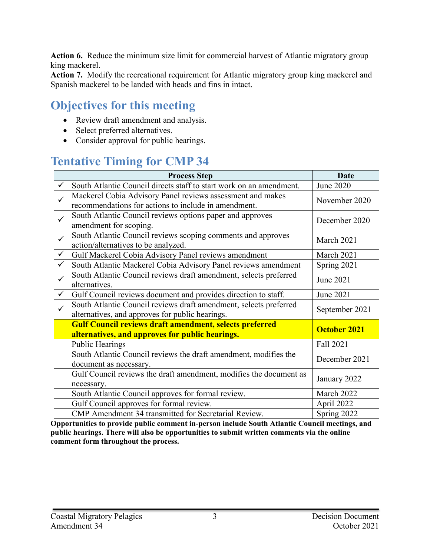**Action 6.** Reduce the minimum size limit for commercial harvest of Atlantic migratory group king mackerel.

**Action 7.** Modify the recreational requirement for Atlantic migratory group king mackerel and Spanish mackerel to be landed with heads and fins in intact.

### **Objectives for this meeting**

- Review draft amendment and analysis.
- Select preferred alternatives.
- Consider approval for public hearings.

# **Tentative Timing for CMP 34**

|              | <b>Process Step</b>                                                                                                  | Date                |
|--------------|----------------------------------------------------------------------------------------------------------------------|---------------------|
| $\checkmark$ | South Atlantic Council directs staff to start work on an amendment.                                                  | June 2020           |
| $\checkmark$ | Mackerel Cobia Advisory Panel reviews assessment and makes<br>recommendations for actions to include in amendment.   | November 2020       |
| $\checkmark$ | South Atlantic Council reviews options paper and approves<br>amendment for scoping.                                  | December 2020       |
| $\checkmark$ | South Atlantic Council reviews scoping comments and approves<br>action/alternatives to be analyzed.                  | March 2021          |
| $\checkmark$ | Gulf Mackerel Cobia Advisory Panel reviews amendment                                                                 | March 2021          |
| $\checkmark$ | South Atlantic Mackerel Cobia Advisory Panel reviews amendment                                                       | Spring 2021         |
| $\checkmark$ | South Atlantic Council reviews draft amendment, selects preferred<br>alternatives.                                   | June 2021           |
| $\checkmark$ | Gulf Council reviews document and provides direction to staff.                                                       | June 2021           |
| $\checkmark$ | South Atlantic Council reviews draft amendment, selects preferred<br>alternatives, and approves for public hearings. | September 2021      |
|              | <b>Gulf Council reviews draft amendment, selects preferred</b><br>alternatives, and approves for public hearings.    | <b>October 2021</b> |
|              | <b>Public Hearings</b>                                                                                               | Fall 2021           |
|              | South Atlantic Council reviews the draft amendment, modifies the<br>document as necessary.                           | December 2021       |
|              | Gulf Council reviews the draft amendment, modifies the document as<br>necessary.                                     | January 2022        |
|              | South Atlantic Council approves for formal review.                                                                   | March 2022          |
|              | Gulf Council approves for formal review.                                                                             | April 2022          |
|              | CMP Amendment 34 transmitted for Secretarial Review.                                                                 | Spring 2022         |

**Opportunities to provide public comment in-person include South Atlantic Council meetings, and public hearings. There will also be opportunities to submit written comments via the online comment form throughout the process.**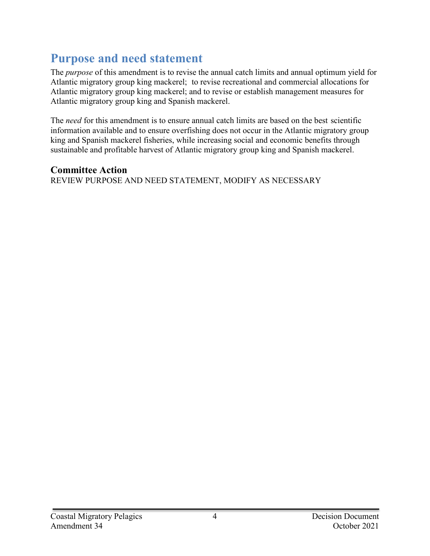## **Purpose and need statement**

The *purpose* of this amendment is to revise the annual catch limits and annual optimum yield for Atlantic migratory group king mackerel; to revise recreational and commercial allocations for Atlantic migratory group king mackerel; and to revise or establish management measures for Atlantic migratory group king and Spanish mackerel.

The *need* for this amendment is to ensure annual catch limits are based on the best scientific information available and to ensure overfishing does not occur in the Atlantic migratory group king and Spanish mackerel fisheries, while increasing social and economic benefits through sustainable and profitable harvest of Atlantic migratory group king and Spanish mackerel.

#### **Committee Action**

REVIEW PURPOSE AND NEED STATEMENT, MODIFY AS NECESSARY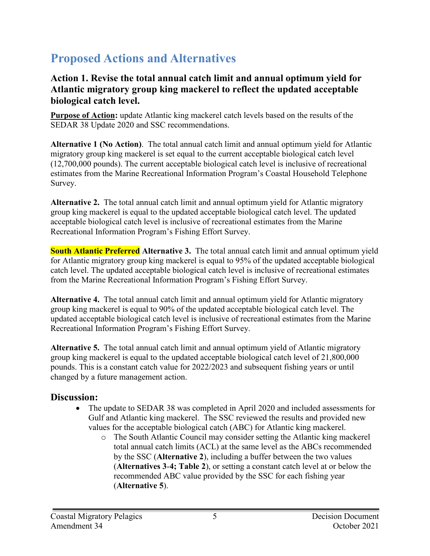# **Proposed Actions and Alternatives**

#### **Action 1. Revise the total annual catch limit and annual optimum yield for Atlantic migratory group king mackerel to reflect the updated acceptable biological catch level.**

**Purpose of Action:** update Atlantic king mackerel catch levels based on the results of the SEDAR 38 Update 2020 and SSC recommendations.

**Alternative 1 (No Action)**. The total annual catch limit and annual optimum yield for Atlantic migratory group king mackerel is set equal to the current acceptable biological catch level (12,700,000 pounds). The current acceptable biological catch level is inclusive of recreational estimates from the Marine Recreational Information Program's Coastal Household Telephone Survey.

**Alternative 2.** The total annual catch limit and annual optimum yield for Atlantic migratory group king mackerel is equal to the updated acceptable biological catch level. The updated acceptable biological catch level is inclusive of recreational estimates from the Marine Recreational Information Program's Fishing Effort Survey.

**South Atlantic Preferred Alternative 3.** The total annual catch limit and annual optimum yield for Atlantic migratory group king mackerel is equal to 95% of the updated acceptable biological catch level. The updated acceptable biological catch level is inclusive of recreational estimates from the Marine Recreational Information Program's Fishing Effort Survey.

**Alternative 4.** The total annual catch limit and annual optimum yield for Atlantic migratory group king mackerel is equal to 90% of the updated acceptable biological catch level. The updated acceptable biological catch level is inclusive of recreational estimates from the Marine Recreational Information Program's Fishing Effort Survey.

**Alternative 5.** The total annual catch limit and annual optimum yield of Atlantic migratory group king mackerel is equal to the updated acceptable biological catch level of 21,800,000 pounds. This is a constant catch value for 2022/2023 and subsequent fishing years or until changed by a future management action.

#### **Discussion:**

- The update to SEDAR 38 was completed in April 2020 and included assessments for Gulf and Atlantic king mackerel. The SSC reviewed the results and provided new values for the acceptable biological catch (ABC) for Atlantic king mackerel.
	- o The South Atlantic Council may consider setting the Atlantic king mackerel total annual catch limits (ACL) at the same level as the ABCs recommended by the SSC (**Alternative 2**), including a buffer between the two values (**Alternatives 3**-**4; Table 2**), or setting a constant catch level at or below the recommended ABC value provided by the SSC for each fishing year (**Alternative 5**).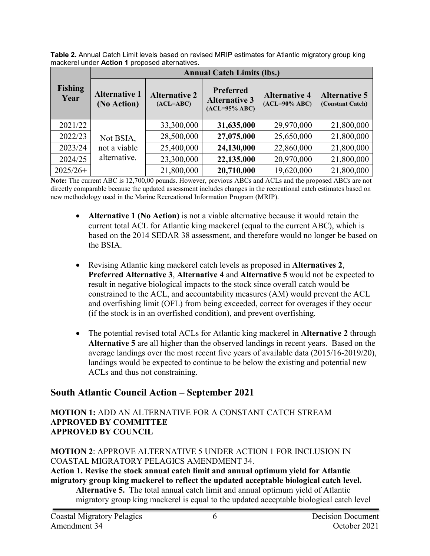**Table 2.** Annual Catch Limit levels based on revised MRIP estimates for Atlantic migratory group king mackerel under **Action 1** proposed alternatives.

|                        | <b>Annual Catch Limits (lbs.)</b>         |                                     |                                                              |                                          |                                          |  |  |
|------------------------|-------------------------------------------|-------------------------------------|--------------------------------------------------------------|------------------------------------------|------------------------------------------|--|--|
| <b>Fishing</b><br>Year | <b>Alternative 1</b><br>(No Action)       | <b>Alternative 2</b><br>$(ACL=ABC)$ | <b>Preferred</b><br><b>Alternative 3</b><br>$(ACL=95\% ABC)$ | <b>Alternative 4</b><br>$(ACL=90\% ABC)$ | <b>Alternative 5</b><br>(Constant Catch) |  |  |
| 2021/22                |                                           | 33,300,000                          | 31,635,000                                                   | 29,970,000                               | 21,800,000                               |  |  |
| 2022/23                | Not BSIA,<br>not a viable<br>alternative. | 28,500,000                          | 27,075,000                                                   | 25,650,000                               | 21,800,000                               |  |  |
| 2023/24                |                                           | 25,400,000                          | 24,130,000                                                   | 22,860,000                               | 21,800,000                               |  |  |
| 2024/25                |                                           | 23,300,000                          | 22,135,000                                                   | 20,970,000                               | 21,800,000                               |  |  |
| $2025/26+$             |                                           | 21,800,000                          | 20,710,000                                                   | 19,620,000                               | 21,800,000                               |  |  |

**Note:** The current ABC is 12,700,00 pounds. However, previous ABCs and ACLs and the proposed ABCs are not directly comparable because the updated assessment includes changes in the recreational catch estimates based on new methodology used in the Marine Recreational Information Program (MRIP).

- **Alternative 1 (No Action)** is not a viable alternative because it would retain the current total ACL for Atlantic king mackerel (equal to the current ABC), which is based on the 2014 SEDAR 38 assessment, and therefore would no longer be based on the BSIA.
- Revising Atlantic king mackerel catch levels as proposed in **Alternatives 2**, **Preferred Alternative 3**, **Alternative 4** and **Alternative 5** would not be expected to result in negative biological impacts to the stock since overall catch would be constrained to the ACL, and accountability measures (AM) would prevent the ACL and overfishing limit (OFL) from being exceeded, correct for overages if they occur (if the stock is in an overfished condition), and prevent overfishing.
- The potential revised total ACLs for Atlantic king mackerel in **Alternative 2** through **Alternative 5** are all higher than the observed landings in recent years. Based on the average landings over the most recent five years of available data (2015/16-2019/20), landings would be expected to continue to be below the existing and potential new ACLs and thus not constraining.

#### **South Atlantic Council Action – September 2021**

#### **MOTION 1:** ADD AN ALTERNATIVE FOR A CONSTANT CATCH STREAM **APPROVED BY COMMITTEE APPROVED BY COUNCIL**

#### **MOTION 2**: APPROVE ALTERNATIVE 5 UNDER ACTION 1 FOR INCLUSION IN COASTAL MIGRATORY PELAGICS AMENDMENT 34.

**Action 1. Revise the stock annual catch limit and annual optimum yield for Atlantic migratory group king mackerel to reflect the updated acceptable biological catch level.**

**Alternative 5.** The total annual catch limit and annual optimum yield of Atlantic migratory group king mackerel is equal to the updated acceptable biological catch level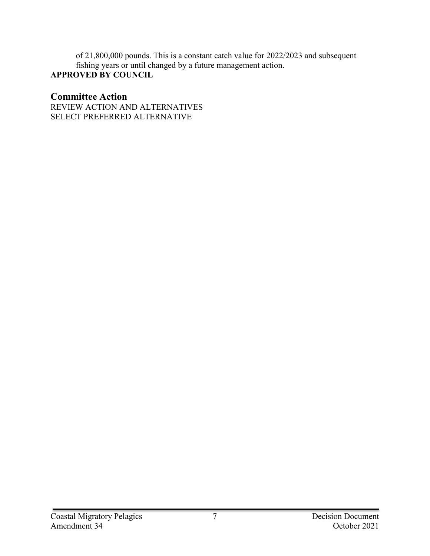of 21,800,000 pounds. This is a constant catch value for 2022/2023 and subsequent fishing years or until changed by a future management action. **APPROVED BY COUNCIL**

#### **Committee Action**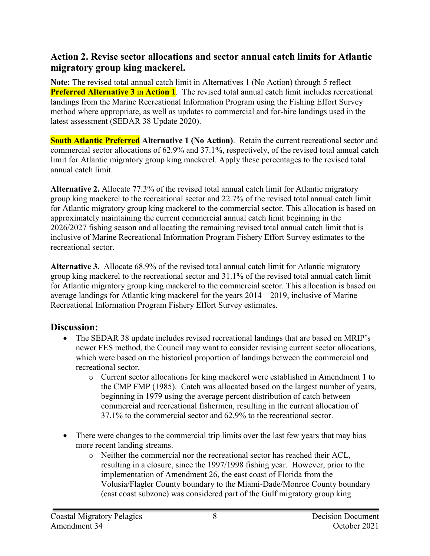#### **Action 2. Revise sector allocations and sector annual catch limits for Atlantic migratory group king mackerel.**

**Note:** The revised total annual catch limit in Alternatives 1 (No Action) through 5 reflect **Preferred Alternative 3** in **Action 1**. The revised total annual catch limit includes recreational landings from the Marine Recreational Information Program using the Fishing Effort Survey method where appropriate, as well as updates to commercial and for-hire landings used in the latest assessment (SEDAR 38 Update 2020).

**South Atlantic Preferred Alternative 1 (No Action)**. Retain the current recreational sector and commercial sector allocations of 62.9% and 37.1%, respectively, of the revised total annual catch limit for Atlantic migratory group king mackerel. Apply these percentages to the revised total annual catch limit.

**Alternative 2.** Allocate 77.3% of the revised total annual catch limit for Atlantic migratory group king mackerel to the recreational sector and 22.7% of the revised total annual catch limit for Atlantic migratory group king mackerel to the commercial sector. This allocation is based on approximately maintaining the current commercial annual catch limit beginning in the 2026/2027 fishing season and allocating the remaining revised total annual catch limit that is inclusive of Marine Recreational Information Program Fishery Effort Survey estimates to the recreational sector.

**Alternative 3.** Allocate 68.9% of the revised total annual catch limit for Atlantic migratory group king mackerel to the recreational sector and 31.1% of the revised total annual catch limit for Atlantic migratory group king mackerel to the commercial sector. This allocation is based on average landings for Atlantic king mackerel for the years 2014 – 2019, inclusive of Marine Recreational Information Program Fishery Effort Survey estimates.

#### **Discussion:**

- The SEDAR 38 update includes revised recreational landings that are based on MRIP's newer FES method, the Council may want to consider revising current sector allocations, which were based on the historical proportion of landings between the commercial and recreational sector.
	- o Current sector allocations for king mackerel were established in Amendment 1 to the CMP FMP (1985). Catch was allocated based on the largest number of years, beginning in 1979 using the average percent distribution of catch between commercial and recreational fishermen, resulting in the current allocation of 37.1% to the commercial sector and 62.9% to the recreational sector.
- There were changes to the commercial trip limits over the last few years that may bias more recent landing streams.
	- o Neither the commercial nor the recreational sector has reached their ACL, resulting in a closure, since the 1997/1998 fishing year. However, prior to the implementation of Amendment 26, the east coast of Florida from the Volusia/Flagler County boundary to the Miami-Dade/Monroe County boundary (east coast subzone) was considered part of the Gulf migratory group king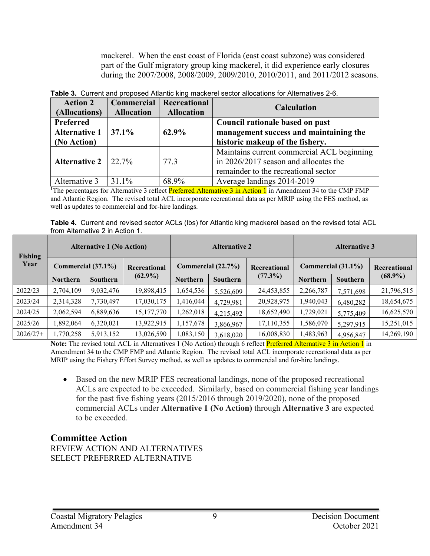mackerel. When the east coast of Florida (east coast subzone) was considered part of the Gulf migratory group king mackerel, it did experience early closures during the 2007/2008, 2008/2009, 2009/2010, 2010/2011, and 2011/2012 seasons.

| <b>Action 2</b><br>(Allocations)                 | Commercial<br><b>Allocation</b> | Recreational<br><b>Allocation</b> | <b>Calculation</b>                                                                                                          |  |
|--------------------------------------------------|---------------------------------|-----------------------------------|-----------------------------------------------------------------------------------------------------------------------------|--|
| Preferred<br><b>Alternative 1</b><br>(No Action) | $37.1\%$                        | 62.9%                             | Council rationale based on past<br>management success and maintaining the<br>historic makeup of the fishery.                |  |
| <b>Alternative 2</b>                             | $22.7\%$                        | 77.3                              | Maintains current commercial ACL beginning<br>in 2026/2017 season and allocates the<br>remainder to the recreational sector |  |
| Alternative 3                                    | 31.1%                           | 68.9%                             | Average landings 2014-2019                                                                                                  |  |

**Table 3.** Current and proposed Atlantic king mackerel sector allocations for Alternatives 2-6.

<sup>1</sup>The percentages for Alternative 3 reflect Preferred Alternative 3 in Action 1 in Amendment 34 to the CMP FMP and Atlantic Region. The revised total ACL incorporate recreational data as per MRIP using the FES method, as well as updates to commercial and for-hire landings.

| Table 4. Current and revised sector ACLs (lbs) for Atlantic king mackerel based on the revised total ACL |  |  |  |
|----------------------------------------------------------------------------------------------------------|--|--|--|
| from Alternative 2 in Action 1.                                                                          |  |  |  |

| <b>Fishing</b> | <b>Alternative 1 (No Action)</b> |                       | <b>Alternative 2</b>               |                 |                 | <b>Alternative 3</b> |                 |              |            |
|----------------|----------------------------------|-----------------------|------------------------------------|-----------------|-----------------|----------------------|-----------------|--------------|------------|
| Year           |                                  | Commercial $(37.1\%)$ | Commercial (22.7%)<br>Recreational |                 | Recreational    | Commercial (31.1%)   |                 | Recreational |            |
|                | <b>Northern</b>                  | <b>Southern</b>       | $(62.9\%)$                         | <b>Northern</b> | <b>Southern</b> | $(77.3\%)$           | <b>Northern</b> | Southern     | $(68.9\%)$ |
| 2022/23        | 2,704,109                        | 9,032,476             | 19,898,415                         | 1,654,536       | 5,526,609       | 24,453,855           | 2,266,787       | 7,571,698    | 21,796,515 |
| 2023/24        | 2,314,328                        | 7,730,497             | 17,030,175                         | ,416,044        | 4,729,981       | 20,928,975           | 1,940,043       | 6,480,282    | 18,654,675 |
| 2024/25        | 2,062,594                        | 6,889,636             | 15,177,770                         | 1,262,018       | 4,215,492       | 18,652,490           | 1,729,021       | 5,775,409    | 16,625,570 |
| 2025/26        | 1,892,064                        | 6,320,021             | 13,922,915                         | 1,157,678       | 3,866,967       | 17,110,355           | 1,586,070       | 5,297,915    | 15,251,015 |
| $2026/27+$     | 1,770,258                        | 5,913,152             | 13,026,590                         | ,083,150        | 3,618,020       | 16,008,830           | 1,483,963       | 4,956,847    | 14,269,190 |

**Note:** The revised total ACL in Alternatives 1 (No Action) through 6 reflect Preferred Alternative 3 in Action 1 in Amendment 34 to the CMP FMP and Atlantic Region. The revised total ACL incorporate recreational data as per MRIP using the Fishery Effort Survey method, as well as updates to commercial and for-hire landings.

• Based on the new MRIP FES recreational landings, none of the proposed recreational ACLs are expected to be exceeded. Similarly, based on commercial fishing year landings for the past five fishing years (2015/2016 through 2019/2020), none of the proposed commercial ACLs under **Alternative 1 (No Action)** through **Alternative 3** are expected to be exceeded.

#### **Committee Action**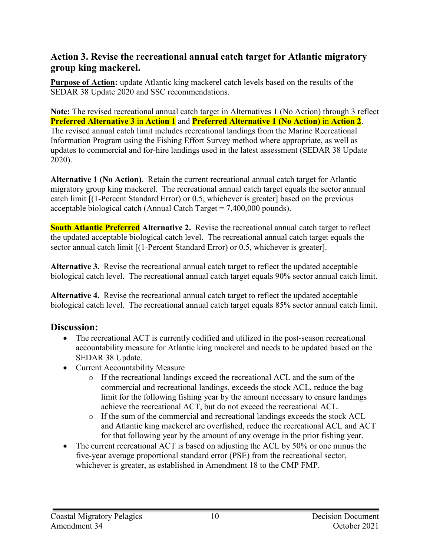#### **Action 3. Revise the recreational annual catch target for Atlantic migratory group king mackerel.**

**Purpose of Action:** update Atlantic king mackerel catch levels based on the results of the SEDAR 38 Update 2020 and SSC recommendations.

**Note:** The revised recreational annual catch target in Alternatives 1 (No Action) through 3 reflect **Preferred Alternative 3** in **Action 1** and **Preferred Alternative 1 (No Action)** in **Action 2**. The revised annual catch limit includes recreational landings from the Marine Recreational Information Program using the Fishing Effort Survey method where appropriate, as well as updates to commercial and for-hire landings used in the latest assessment (SEDAR 38 Update 2020).

**Alternative 1 (No Action)**. Retain the current recreational annual catch target for Atlantic migratory group king mackerel. The recreational annual catch target equals the sector annual catch limit [(1-Percent Standard Error) or 0.5, whichever is greater] based on the previous acceptable biological catch (Annual Catch Target  $= 7,400,000$  pounds).

**South Atlantic Preferred Alternative 2.** Revise the recreational annual catch target to reflect the updated acceptable biological catch level. The recreational annual catch target equals the sector annual catch limit [(1-Percent Standard Error) or 0.5, whichever is greater].

**Alternative 3.** Revise the recreational annual catch target to reflect the updated acceptable biological catch level. The recreational annual catch target equals 90% sector annual catch limit.

**Alternative 4.** Revise the recreational annual catch target to reflect the updated acceptable biological catch level. The recreational annual catch target equals 85% sector annual catch limit.

#### **Discussion:**

- The recreational ACT is currently codified and utilized in the post-season recreational accountability measure for Atlantic king mackerel and needs to be updated based on the SEDAR 38 Update.
- Current Accountability Measure
	- o If the recreational landings exceed the recreational ACL and the sum of the commercial and recreational landings, exceeds the stock ACL, reduce the bag limit for the following fishing year by the amount necessary to ensure landings achieve the recreational ACT, but do not exceed the recreational ACL.
	- o If the sum of the commercial and recreational landings exceeds the stock ACL and Atlantic king mackerel are overfished, reduce the recreational ACL and ACT for that following year by the amount of any overage in the prior fishing year.
- The current recreational ACT is based on adjusting the ACL by 50% or one minus the five-year average proportional standard error (PSE) from the recreational sector, whichever is greater, as established in Amendment 18 to the CMP FMP.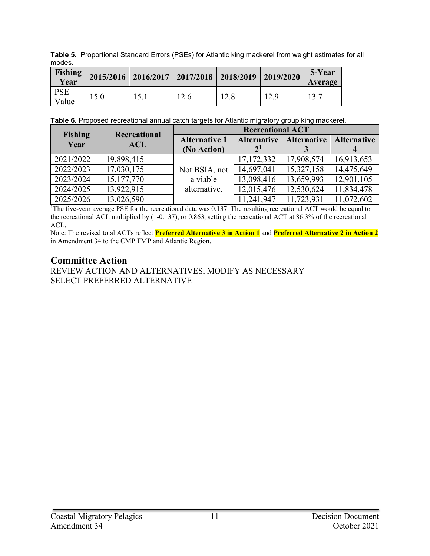**Table 5.** Proportional Standard Errors (PSEs) for Atlantic king mackerel from weight estimates for all modes.

| Fishing<br>Year     |      | $2015/2016$ 2016/2017 2017/2018 2018/2019 2019/2020 |      |      |      | 5-Year<br>Average |
|---------------------|------|-----------------------------------------------------|------|------|------|-------------------|
| <b>PSE</b><br>Value | 15.0 | 151                                                 | 12.6 | 12.8 | 12.9 | 13.7              |

**Table 6.** Proposed **r**ecreational annual catch targets for Atlantic migratory group king mackerel.

|                        | <b>Recreational</b> | <b>Recreational ACT</b> |                    |                    |                    |  |
|------------------------|---------------------|-------------------------|--------------------|--------------------|--------------------|--|
| <b>Fishing</b><br>Year |                     | <b>Alternative 1</b>    | <b>Alternative</b> | <b>Alternative</b> | <b>Alternative</b> |  |
|                        | <b>ACL</b>          | (No Action)             | 2 <sup>1</sup>     |                    |                    |  |
| 2021/2022              | 19,898,415          |                         | 17, 172, 332       | 17,908,574         | 16,913,653         |  |
| 2022/2023              | 17,030,175          | Not BSIA, not           | 14,697,041         | 15,327,158         | 14,475,649         |  |
| 2023/2024              | 15, 177, 770        | a viable                | 13,098,416         | 13,659,993         | 12,901,105         |  |
| 2024/2025              | 13,922,915          | alternative.            | 12,015,476         | 12,530,624         | 11,834,478         |  |
| $2025/2026+$           | 13,026,590          |                         | 11,241,947         | 11,723,931         | 11,072,602         |  |

<sup>1</sup>The five-year average PSE for the recreational data was 0.137. The resulting recreational ACT would be equal to the recreational ACL multiplied by (1-0.137), or 0.863, setting the recreational ACT at 86.3% of the recreational ACL.

Note: The revised total ACTs reflect **Preferred Alternative 3 in Action 1** and **Preferred Alternative 2 in Action 2** in Amendment 34 to the CMP FMP and Atlantic Region.

#### **Committee Action**

REVIEW ACTION AND ALTERNATIVES, MODIFY AS NECESSARY SELECT PREFERRED ALTERNATIVE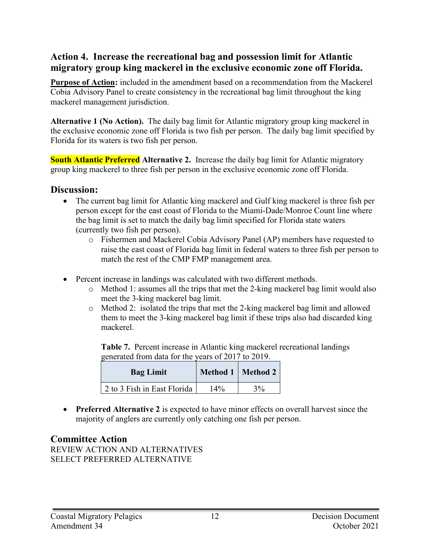#### **Action 4. Increase the recreational bag and possession limit for Atlantic migratory group king mackerel in the exclusive economic zone off Florida.**

**Purpose of Action:** included in the amendment based on a recommendation from the Mackerel Cobia Advisory Panel to create consistency in the recreational bag limit throughout the king mackerel management jurisdiction.

**Alternative 1 (No Action).** The daily bag limit for Atlantic migratory group king mackerel in the exclusive economic zone off Florida is two fish per person. The daily bag limit specified by Florida for its waters is two fish per person.

**South Atlantic Preferred Alternative 2.** Increase the daily bag limit for Atlantic migratory group king mackerel to three fish per person in the exclusive economic zone off Florida.

#### **Discussion:**

- The current bag limit for Atlantic king mackerel and Gulf king mackerel is three fish per person except for the east coast of Florida to the Miami-Dade/Monroe Count line where the bag limit is set to match the daily bag limit specified for Florida state waters (currently two fish per person).
	- o Fishermen and Mackerel Cobia Advisory Panel (AP) members have requested to raise the east coast of Florida bag limit in federal waters to three fish per person to match the rest of the CMP FMP management area.
- Percent increase in landings was calculated with two different methods.
	- o Method 1: assumes all the trips that met the 2-king mackerel bag limit would also meet the 3-king mackerel bag limit.
	- o Method 2: isolated the trips that met the 2-king mackerel bag limit and allowed them to meet the 3-king mackerel bag limit if these trips also had discarded king mackerel.

**Table 7.** Percent increase in Atlantic king mackerel recreational landings generated from data for the years of 2017 to 2019.

| <b>Bag Limit</b>            |        | Method 1   Method 2 |  |
|-----------------------------|--------|---------------------|--|
| 2 to 3 Fish in East Florida | $14\%$ | 3%                  |  |

• **Preferred Alternative 2** is expected to have minor effects on overall harvest since the majority of anglers are currently only catching one fish per person.

#### **Committee Action**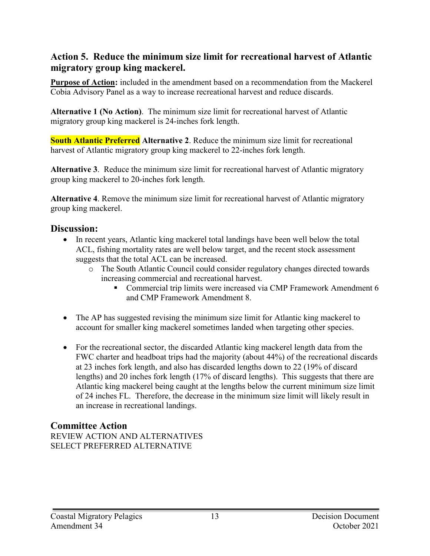#### **Action 5. Reduce the minimum size limit for recreational harvest of Atlantic migratory group king mackerel.**

**Purpose of Action:** included in the amendment based on a recommendation from the Mackerel Cobia Advisory Panel as a way to increase recreational harvest and reduce discards.

**Alternative 1 (No Action)**. The minimum size limit for recreational harvest of Atlantic migratory group king mackerel is 24-inches fork length.

**South Atlantic Preferred Alternative 2**. Reduce the minimum size limit for recreational harvest of Atlantic migratory group king mackerel to 22-inches fork length.

**Alternative 3**. Reduce the minimum size limit for recreational harvest of Atlantic migratory group king mackerel to 20-inches fork length.

**Alternative 4**. Remove the minimum size limit for recreational harvest of Atlantic migratory group king mackerel.

#### **Discussion:**

- In recent years, Atlantic king mackerel total landings have been well below the total ACL, fishing mortality rates are well below target, and the recent stock assessment suggests that the total ACL can be increased.
	- o The South Atlantic Council could consider regulatory changes directed towards increasing commercial and recreational harvest.
		- Commercial trip limits were increased via CMP Framework Amendment 6 and CMP Framework Amendment 8.
- The AP has suggested revising the minimum size limit for Atlantic king mackerel to account for smaller king mackerel sometimes landed when targeting other species.
- For the recreational sector, the discarded Atlantic king mackerel length data from the FWC charter and headboat trips had the majority (about 44%) of the recreational discards at 23 inches fork length, and also has discarded lengths down to 22 (19% of discard lengths) and 20 inches fork length (17% of discard lengths). This suggests that there are Atlantic king mackerel being caught at the lengths below the current minimum size limit of 24 inches FL. Therefore, the decrease in the minimum size limit will likely result in an increase in recreational landings.

#### **Committee Action**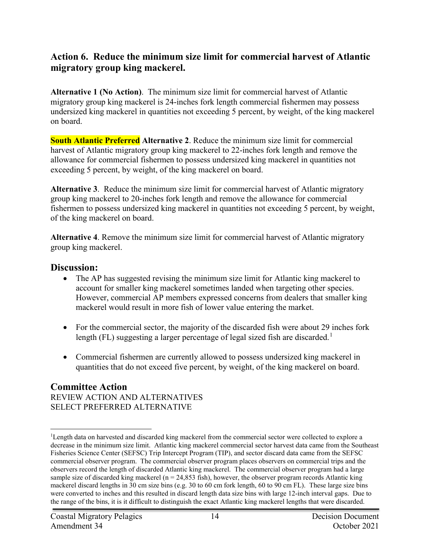#### **Action 6. Reduce the minimum size limit for commercial harvest of Atlantic migratory group king mackerel.**

**Alternative 1 (No Action)**. The minimum size limit for commercial harvest of Atlantic migratory group king mackerel is 24-inches fork length commercial fishermen may possess undersized king mackerel in quantities not exceeding 5 percent, by weight, of the king mackerel on board.

**South Atlantic Preferred Alternative 2**. Reduce the minimum size limit for commercial harvest of Atlantic migratory group king mackerel to 22-inches fork length and remove the allowance for commercial fishermen to possess undersized king mackerel in quantities not exceeding 5 percent, by weight, of the king mackerel on board.

**Alternative 3**.Reduce the minimum size limit for commercial harvest of Atlantic migratory group king mackerel to 20-inches fork length and remove the allowance for commercial fishermen to possess undersized king mackerel in quantities not exceeding 5 percent, by weight, of the king mackerel on board.

**Alternative 4**. Remove the minimum size limit for commercial harvest of Atlantic migratory group king mackerel.

#### **Discussion:**

- The AP has suggested revising the minimum size limit for Atlantic king mackerel to account for smaller king mackerel sometimes landed when targeting other species. However, commercial AP members expressed concerns from dealers that smaller king mackerel would result in more fish of lower value entering the market.
- For the commercial sector, the majority of the discarded fish were about 29 inches fork length (FL) suggesting a larger percentage of legal sized fish are discarded.<sup>[1](#page-13-0)</sup>
- Commercial fishermen are currently allowed to possess undersized king mackerel in quantities that do not exceed five percent, by weight, of the king mackerel on board.

#### **Committee Action**

<span id="page-13-0"></span> $\frac{1}{1}$ <sup>1</sup>Length data on harvested and discarded king mackerel from the commercial sector were collected to explore a decrease in the minimum size limit. Atlantic king mackerel commercial sector harvest data came from the Southeast Fisheries Science Center (SEFSC) Trip Intercept Program (TIP), and sector discard data came from the SEFSC commercial observer program. The commercial observer program places observers on commercial trips and the observers record the length of discarded Atlantic king mackerel. The commercial observer program had a large sample size of discarded king mackerel ( $n = 24,853$  fish), however, the observer program records Atlantic king mackerel discard lengths in 30 cm size bins (e.g. 30 to 60 cm fork length, 60 to 90 cm FL). These large size bins were converted to inches and this resulted in discard length data size bins with large 12-inch interval gaps. Due to the range of the bins, it is it difficult to distinguish the exact Atlantic king mackerel lengths that were discarded.